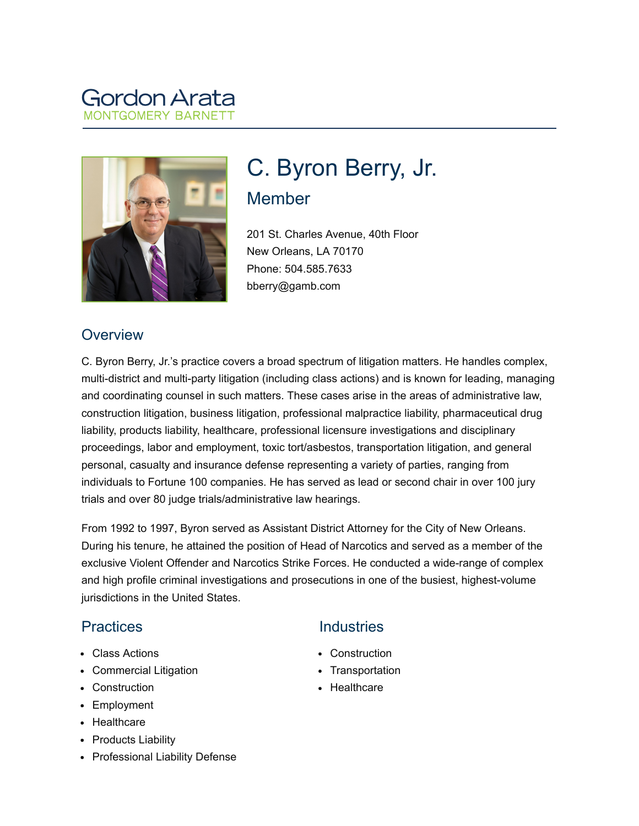# Gordon Arata MONTGOMFRY BARNET



# C. Byron Berry, Jr. Member

201 St. Charles Avenue, 40th Floor New Orleans, LA 70170 Phone: 504.585.7633 bberry@gamb.com

#### **Overview**

C. Byron Berry, Jr.'s practice covers a broad spectrum of litigation matters. He handles complex, multi-district and multi-party litigation (including class actions) and is known for leading, managing and coordinating counsel in such matters. These cases arise in the areas of administrative law, construction litigation, business litigation, professional malpractice liability, pharmaceutical drug liability, products liability, healthcare, professional licensure investigations and disciplinary proceedings, labor and employment, toxic tort/asbestos, transportation litigation, and general personal, casualty and insurance defense representing a variety of parties, ranging from individuals to Fortune 100 companies. He has served as lead or second chair in over 100 jury trials and over 80 judge trials/administrative law hearings.

From 1992 to 1997, Byron served as Assistant District Attorney for the City of New Orleans. During his tenure, he attained the position of Head of Narcotics and served as a member of the exclusive Violent Offender and Narcotics Strike Forces. He conducted a wide-range of complex and high profile criminal investigations and prosecutions in one of the busiest, highest-volume jurisdictions in the United States.

# **Practices**

- Class Actions
- Commercial Litigation
- Construction
- Employment
- Healthcare
- Products Liability
- Professional Liability Defense

# **Industries**

- Construction
- Transportation
- Healthcare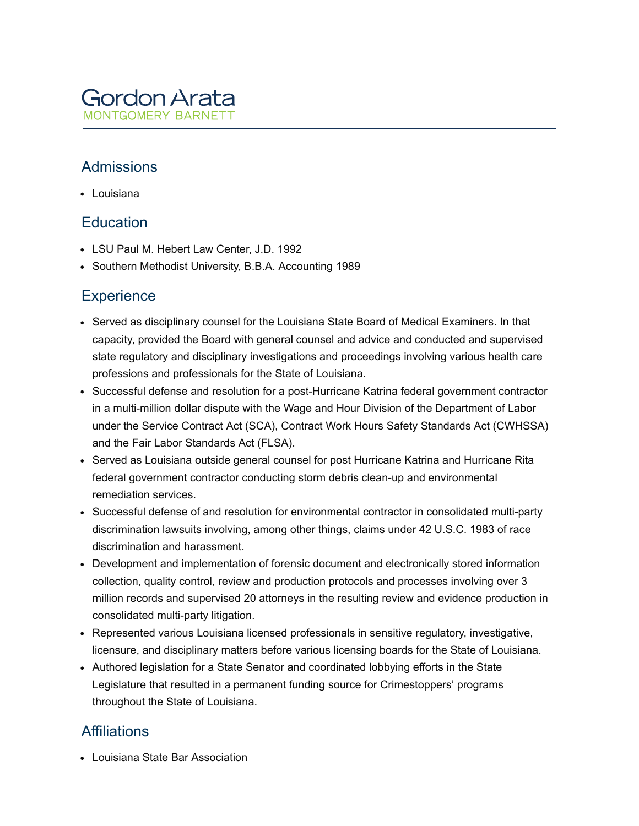

#### Admissions

Louisiana

#### **Education**

- LSU Paul M. Hebert Law Center, J.D. 1992
- Southern Methodist University, B.B.A. Accounting 1989

#### **Experience**

- Served as disciplinary counsel for the Louisiana State Board of Medical Examiners. In that capacity, provided the Board with general counsel and advice and conducted and supervised state regulatory and disciplinary investigations and proceedings involving various health care professions and professionals for the State of Louisiana.
- Successful defense and resolution for a post-Hurricane Katrina federal government contractor in a multi-million dollar dispute with the Wage and Hour Division of the Department of Labor under the Service Contract Act (SCA), Contract Work Hours Safety Standards Act (CWHSSA) and the Fair Labor Standards Act (FLSA).
- Served as Louisiana outside general counsel for post Hurricane Katrina and Hurricane Rita federal government contractor conducting storm debris clean-up and environmental remediation services.
- Successful defense of and resolution for environmental contractor in consolidated multi-party discrimination lawsuits involving, among other things, claims under 42 U.S.C. 1983 of race discrimination and harassment.
- Development and implementation of forensic document and electronically stored information collection, quality control, review and production protocols and processes involving over 3 million records and supervised 20 attorneys in the resulting review and evidence production in consolidated multi-party litigation.
- Represented various Louisiana licensed professionals in sensitive regulatory, investigative, licensure, and disciplinary matters before various licensing boards for the State of Louisiana.
- Authored legislation for a State Senator and coordinated lobbying efforts in the State Legislature that resulted in a permanent funding source for Crimestoppers' programs throughout the State of Louisiana.

#### **Affiliations**

Louisiana State Bar Association